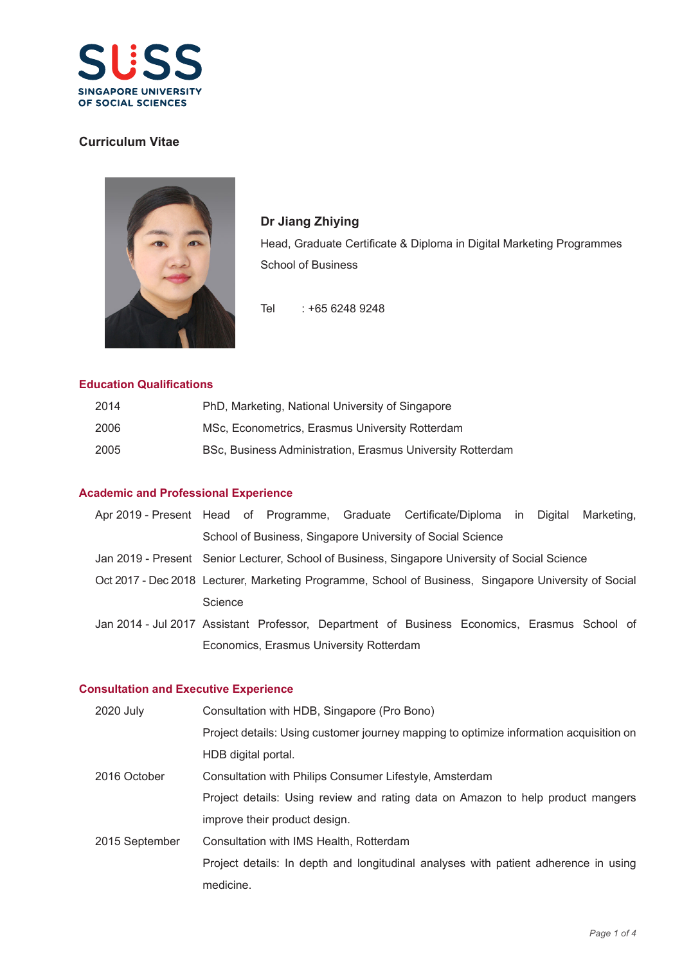

# **Curriculum Vitae**



**Dr Jiang Zhiying** Head, Graduate Certificate & Diploma in Digital Marketing Programmes School of Business

Tel : +65 6248 9248

## **Education Qualifications**

| 2014 | PhD, Marketing, National University of Singapore           |
|------|------------------------------------------------------------|
| 2006 | MSc, Econometrics, Erasmus University Rotterdam            |
| 2005 | BSc, Business Administration, Erasmus University Rotterdam |

### **Academic and Professional Experience**

|                                                            |  |  |  | Apr 2019 - Present Head of Programme, Graduate Certificate/Diploma in Digital Marketing, |  |  |
|------------------------------------------------------------|--|--|--|------------------------------------------------------------------------------------------|--|--|
| School of Business, Singapore University of Social Science |  |  |  |                                                                                          |  |  |

Jan 2019 - Present Senior Lecturer, School of Business, Singapore University of Social Science

Oct 2017 - Dec 2018 Lecturer, Marketing Programme, School of Business, Singapore University of Social **Science** 

Jan 2014 - Jul 2017 Assistant Professor, Department of Business Economics, Erasmus School of Economics, Erasmus University Rotterdam

#### **Consultation and Executive Experience**

| 2020 July      | Consultation with HDB, Singapore (Pro Bono)                                            |
|----------------|----------------------------------------------------------------------------------------|
|                | Project details: Using customer journey mapping to optimize information acquisition on |
|                | HDB digital portal.                                                                    |
| 2016 October   | Consultation with Philips Consumer Lifestyle, Amsterdam                                |
|                | Project details: Using review and rating data on Amazon to help product mangers        |
|                | improve their product design.                                                          |
| 2015 September | Consultation with IMS Health, Rotterdam                                                |
|                | Project details: In depth and longitudinal analyses with patient adherence in using    |
|                | medicine.                                                                              |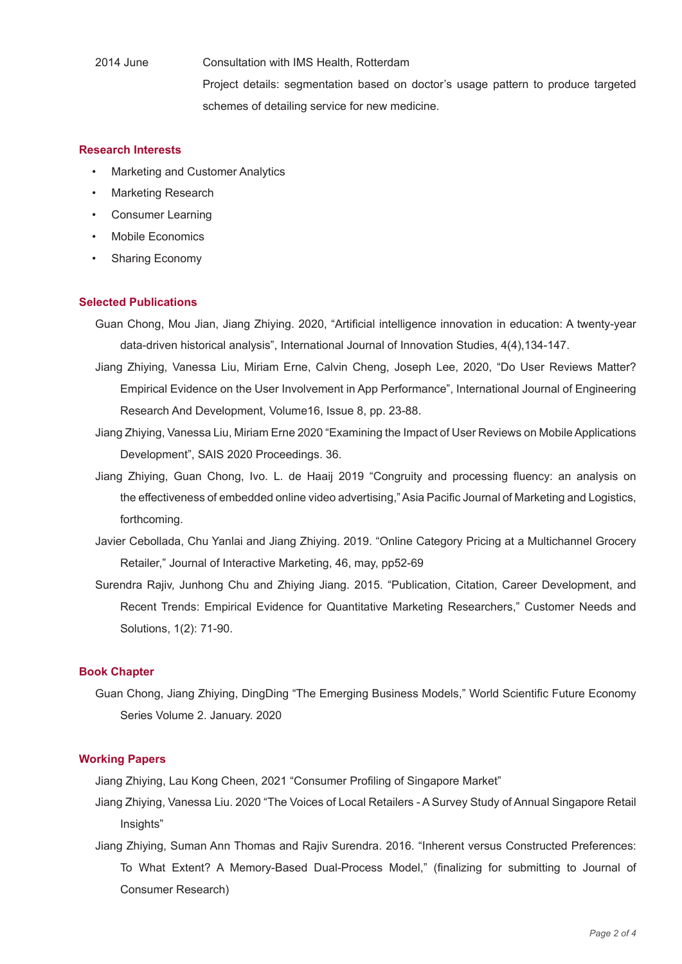2014 June Consultation with IMS Health, Rotterdam

 Project details: segmentation based on doctor's usage pattern to produce targeted schemes of detailing service for new medicine.

#### **Research Interests**

- Marketing and Customer Analytics
- **Marketing Research**
- Consumer Learning
- Mobile Economics
- Sharing Economy

#### **Selected Publications**

- Guan Chong, Mou Jian, Jiang Zhiying. 2020, "Artificial intelligence innovation in education: A twenty-year data-driven historical analysis", International Journal of Innovation Studies, 4(4),134-147.
- Jiang Zhiying, Vanessa Liu, Miriam Erne, Calvin Cheng, Joseph Lee, 2020, "Do User Reviews Matter? Empirical Evidence on the User Involvement in App Performance", International Journal of Engineering Research And Development, Volume16, Issue 8, pp. 23-88.
- Jiang Zhiying, Vanessa Liu, Miriam Erne 2020 "Examining the Impact of User Reviews on Mobile Applications Development", SAIS 2020 Proceedings. 36.
- Jiang Zhiying, Guan Chong, Ivo. L. de Haaij 2019 "Congruity and processing fluency: an analysis on the effectiveness of embedded online video advertising," Asia Pacific Journal of Marketing and Logistics, forthcoming.
- Javier Cebollada, Chu Yanlai and Jiang Zhiying. 2019. "Online Category Pricing at a Multichannel Grocery Retailer," Journal of Interactive Marketing, 46, may, pp52-69
- Surendra Rajiv, Junhong Chu and Zhiying Jiang. 2015. "Publication, Citation, Career Development, and Recent Trends: Empirical Evidence for Quantitative Marketing Researchers," Customer Needs and Solutions, 1(2): 71-90.

#### **Book Chapter**

Guan Chong, Jiang Zhiying, DingDing "The Emerging Business Models," World Scientific Future Economy Series Volume 2. January. 2020

### **Working Papers**

Jiang Zhiying, Lau Kong Cheen, 2021 "Consumer Profiling of Singapore Market"

- Jiang Zhiying, Vanessa Liu. 2020 "The Voices of Local Retailers A Survey Study of Annual Singapore Retail Insights"
- Jiang Zhiying, Suman Ann Thomas and Rajiv Surendra. 2016. "Inherent versus Constructed Preferences: To What Extent? A Memory-Based Dual-Process Model," (finalizing for submitting to Journal of Consumer Research)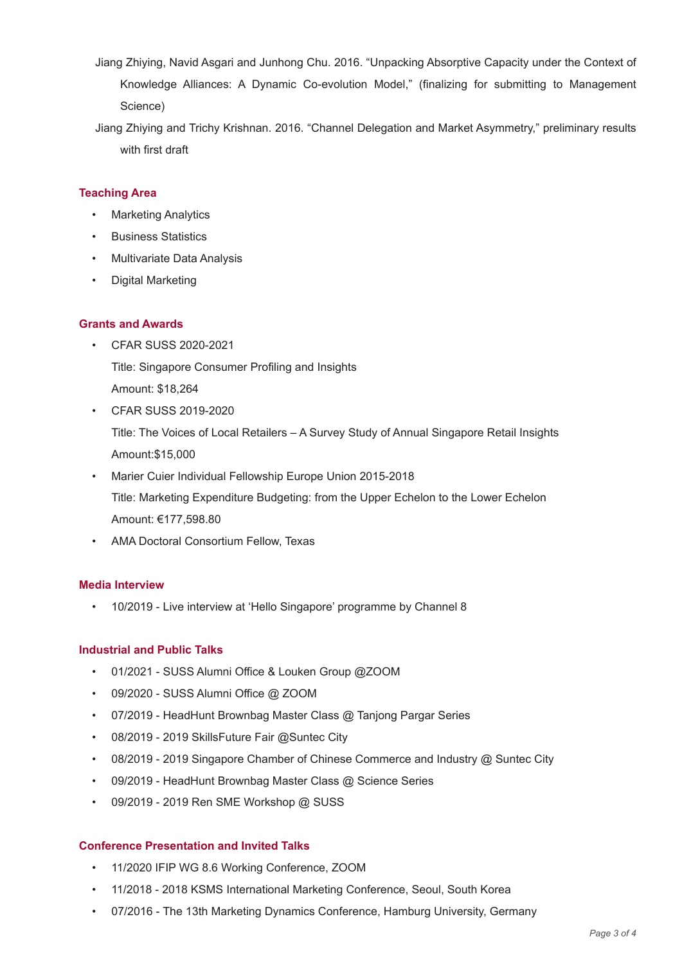- Jiang Zhiying, Navid Asgari and Junhong Chu. 2016. "Unpacking Absorptive Capacity under the Context of Knowledge Alliances: A Dynamic Co-evolution Model," (finalizing for submitting to Management Science)
- Jiang Zhiying and Trichy Krishnan. 2016. "Channel Delegation and Market Asymmetry," preliminary results with first draft

## **Teaching Area**

- Marketing Analytics
- Business Statistics
- Multivariate Data Analysis
- Digital Marketing

## **Grants and Awards**

- CFAR SUSS 2020-2021 Title: Singapore Consumer Profiling and Insights Amount: \$18,264
- CFAR SUSS 2019-2020

Title: The Voices of Local Retailers – A Survey Study of Annual Singapore Retail Insights Amount:\$15,000

- Marier Cuier Individual Fellowship Europe Union 2015-2018 Title: Marketing Expenditure Budgeting: from the Upper Echelon to the Lower Echelon Amount: €177,598.80
- AMA Doctoral Consortium Fellow, Texas

#### **Media Interview**

• 10/2019 - Live interview at 'Hello Singapore' programme by Channel 8

#### **Industrial and Public Talks**

- 01/2021 SUSS Alumni Office & Louken Group @ZOOM
- 09/2020 SUSS Alumni Office @ ZOOM
- 07/2019 HeadHunt Brownbag Master Class @ Tanjong Pargar Series
- 08/2019 2019 SkillsFuture Fair @Suntec City
- 08/2019 2019 Singapore Chamber of Chinese Commerce and Industry @ Suntec City
- 09/2019 HeadHunt Brownbag Master Class @ Science Series
- 09/2019 2019 Ren SME Workshop @ SUSS

#### **Conference Presentation and Invited Talks**

- 11/2020 IFIP WG 8.6 Working Conference, ZOOM
- 11/2018 2018 KSMS International Marketing Conference, Seoul, South Korea
- 07/2016 The 13th Marketing Dynamics Conference, Hamburg University, Germany